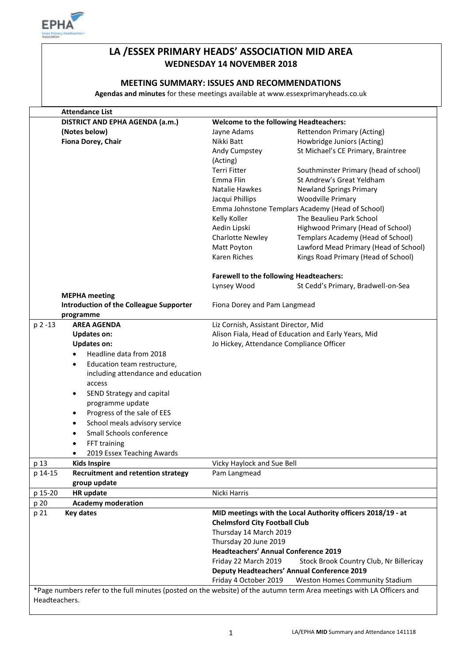

# **LA /ESSEX PRIMARY HEADS' ASSOCIATION MID AREA WEDNESDAY 14 NOVEMBER 2018**

## **MEETING SUMMARY: ISSUES AND RECOMMENDATIONS**

**Agendas and minutes** for these meetings available at www.essexprimaryheads.co.uk

|               | <b>Attendance List</b>                                                                                                |                                                             |                                                    |  |
|---------------|-----------------------------------------------------------------------------------------------------------------------|-------------------------------------------------------------|----------------------------------------------------|--|
|               | DISTRICT AND EPHA AGENDA (a.m.)                                                                                       | <b>Welcome to the following Headteachers:</b>               |                                                    |  |
|               | (Notes below)                                                                                                         | Jayne Adams                                                 | <b>Rettendon Primary (Acting)</b>                  |  |
|               | Fiona Dorey, Chair                                                                                                    | Nikki Batt                                                  | Howbridge Juniors (Acting)                         |  |
|               |                                                                                                                       | Andy Cumpstey                                               | St Michael's CE Primary, Braintree                 |  |
|               |                                                                                                                       | (Acting)                                                    |                                                    |  |
|               |                                                                                                                       | Terri Fitter                                                | Southminster Primary (head of school)              |  |
|               |                                                                                                                       | Emma Flin                                                   | St Andrew's Great Yeldham                          |  |
|               |                                                                                                                       | Natalie Hawkes                                              | <b>Newland Springs Primary</b>                     |  |
|               |                                                                                                                       | Jacqui Phillips                                             | <b>Woodville Primary</b>                           |  |
|               |                                                                                                                       |                                                             | Emma Johnstone Templars Academy (Head of School)   |  |
|               |                                                                                                                       | Kelly Koller                                                | The Beaulieu Park School                           |  |
|               |                                                                                                                       | Aedin Lipski                                                | Highwood Primary (Head of School)                  |  |
|               |                                                                                                                       | <b>Charlotte Newley</b>                                     | Templars Academy (Head of School)                  |  |
|               |                                                                                                                       | Matt Poyton                                                 | Lawford Mead Primary (Head of School)              |  |
|               |                                                                                                                       | Karen Riches                                                | Kings Road Primary (Head of School)                |  |
|               |                                                                                                                       |                                                             |                                                    |  |
|               |                                                                                                                       | <b>Farewell to the following Headteachers:</b>              |                                                    |  |
|               |                                                                                                                       | Lynsey Wood                                                 | St Cedd's Primary, Bradwell-on-Sea                 |  |
|               | <b>MEPHA</b> meeting                                                                                                  |                                                             |                                                    |  |
|               | <b>Introduction of the Colleague Supporter</b>                                                                        | Fiona Dorey and Pam Langmead                                |                                                    |  |
|               | programme                                                                                                             |                                                             |                                                    |  |
| $p$ 2 -13     | <b>AREA AGENDA</b>                                                                                                    | Liz Cornish, Assistant Director, Mid                        |                                                    |  |
|               | <b>Updates on:</b>                                                                                                    | Alison Fiala, Head of Education and Early Years, Mid        |                                                    |  |
|               | <b>Updates on:</b>                                                                                                    | Jo Hickey, Attendance Compliance Officer                    |                                                    |  |
|               | Headline data from 2018                                                                                               |                                                             |                                                    |  |
|               | Education team restructure,<br>$\bullet$                                                                              |                                                             |                                                    |  |
|               | including attendance and education                                                                                    |                                                             |                                                    |  |
|               | access                                                                                                                |                                                             |                                                    |  |
|               | SEND Strategy and capital<br>$\bullet$                                                                                |                                                             |                                                    |  |
|               | programme update                                                                                                      |                                                             |                                                    |  |
|               | Progress of the sale of EES<br>$\bullet$                                                                              |                                                             |                                                    |  |
|               | School meals advisory service                                                                                         |                                                             |                                                    |  |
|               | ٠                                                                                                                     |                                                             |                                                    |  |
|               | Small Schools conference                                                                                              |                                                             |                                                    |  |
|               | FFT training                                                                                                          |                                                             |                                                    |  |
|               | 2019 Essex Teaching Awards                                                                                            |                                                             |                                                    |  |
| p 13          | <b>Kids Inspire</b>                                                                                                   | Vicky Haylock and Sue Bell                                  |                                                    |  |
| p 14-15       | <b>Recruitment and retention strategy</b>                                                                             | Pam Langmead                                                |                                                    |  |
|               | group update                                                                                                          |                                                             |                                                    |  |
| p 15-20       | HR update                                                                                                             | Nicki Harris                                                |                                                    |  |
| p 20          | <b>Academy moderation</b>                                                                                             |                                                             |                                                    |  |
| p 21          | <b>Key dates</b>                                                                                                      | MID meetings with the Local Authority officers 2018/19 - at |                                                    |  |
|               |                                                                                                                       | <b>Chelmsford City Football Club</b>                        |                                                    |  |
|               |                                                                                                                       | Thursday 14 March 2019                                      |                                                    |  |
|               |                                                                                                                       | Thursday 20 June 2019                                       |                                                    |  |
|               |                                                                                                                       | <b>Headteachers' Annual Conference 2019</b>                 |                                                    |  |
|               |                                                                                                                       | Friday 22 March 2019                                        | Stock Brook Country Club, Nr Billericay            |  |
|               |                                                                                                                       |                                                             | <b>Deputy Headteachers' Annual Conference 2019</b> |  |
|               |                                                                                                                       | Friday 4 October 2019                                       | Weston Homes Community Stadium                     |  |
|               | *Page numbers refer to the full minutes (posted on the website) of the autumn term Area meetings with LA Officers and |                                                             |                                                    |  |
| Headteachers. |                                                                                                                       |                                                             |                                                    |  |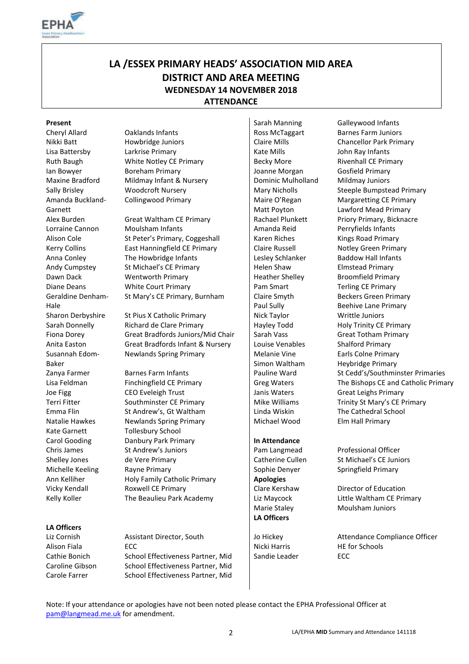

# **LA /ESSEX PRIMARY HEADS' ASSOCIATION MID AREA DISTRICT AND AREA MEETING WEDNESDAY 14 NOVEMBER 2018 ATTENDANCE**

Amanda Buckland-Garnett Geraldine Denham-Hale Susannah Edom-Baker Kate Garnett **Tollesbury School** 

#### **LA Officers**

Nikki Batt **Howbridge Juniors Claire Mills** Chancellor Park Primary Lisa Battersby Larkrise Primary Late Mills Notate Mills and John Ray Infants Ruth Baugh **Baugh CE White Notley CE Primary Becky More** Becky More Rivenhall CE Primary Ian Bowyer Boreham Primary Joanne Morgan Gosfield Primary Maxine Bradford Mildmay Infant & Nursery Dominic Mulholland Mildmay Juniors Collingwood Primary Maire O'Regan

Alex Burden Great Waltham CE Primary Rachael Plunkett Priory Primary, Bicknacre Lorraine Cannon Moulsham Infants Moultham Infants Amanda Reid Perryfields Infants Alison Cole St Peter's Primary, Coggeshall Karen Riches Kings Road Primary Kerry Collins East Hanningfield CE Primary Claire Russell Notley Green Primary Anna Conley The Howbridge Infants Lesley Schlanker Baddow Hall Infants Andy Cumpstey St Michael's CE Primary Full Helen Shaw Elmstead Primary Dawn Dack Wentworth Primary Heather Shelley Broomfield Primary Diane Deans **White Court Primary** Pam Smart Terling CE Primary St Mary's CE Primary, Burnham | Claire Smyth

Sharon Derbyshire St Pius X Catholic Primary Nick Taylor Nick Taylor Writtle Juniors Sarah Donnelly Richard de Clare Primary Hayley Todd Holy Trinity CE Primary Fiona Dorey Great Bradfords Juniors/Mid Chair Sarah Vass Great Totham Primary Anita Easton **Great Bradfords Infant & Nursery** Louise Venables Shalford Primary Newlands Spring Primary Melanie Vine

Joe Figg **CEO Eveleigh Trust** Janis Waters Great Leighs Primary Terri Fitter Southminster CE Primary Mike Williams Trinity St Mary's CE Primary Emma Flin St Andrew's, Gt Waltham Linda Wiskin The Cathedral School Natalie Hawkes Newlands Spring Primary Nichael Wood Elm Hall Primary Carol Gooding **Danbury Park Primary In Attendance** Chris James St Andrew's Juniors Pam Langmead Professional Officer Shelley Jones de Vere Primary Catherine Cullen St Michael's CE Juniors Michelle Keeling Rayne Primary **Superset Accord Rayne Primary** Springfield Primary Ann Kelliher **Holy Family Catholic Primary Apologies** Vicky Kendall **Roxwell CE Primary** Clare Kershaw Director of Education Kelly Koller The Beaulieu Park Academy Liz Maycock Little Waltham CE Primary

Alison Fiala **ECC** ECC Research ECC **Nicki Harris** HE for Schools Cathie Bonich School Effectiveness Partner, Mid Sandie Leader ECC Caroline Gibson School Effectiveness Partner, Mid Carole Farrer School Effectiveness Partner, Mid

Matt Poyton Paul Sully Simon Waltham

**LA Officers**

**Present** Sarah Manning Galleywood Infants Cheryl Allard Caklands Infants Ross McTaggart Barnes Farm Juniors Sally Brisley **Mary Woodcroft Nursery** Mary Nicholls Steeple Bumpstead Primary Margaretting CE Primary Lawford Mead Primary Beckers Green Primary Beehive Lane Primary Earls Colne Primary Heybridge Primary Zanya Farmer Barnes Farm Infants Pauline Ward St Cedd's/Southminster Primaries Lisa Feldman Finchingfield CE Primary Greg Waters The Bishops CE and Catholic Primary

Marie Staley Moulsham Juniors

Liz Cornish Assistant Director, South Jo Hickey Attendance Compliance Officer

Note: If your attendance or apologies have not been noted please contact the EPHA Professional Officer at [pam@langmead.me.uk](mailto:pam@langmead.me.uk) for amendment.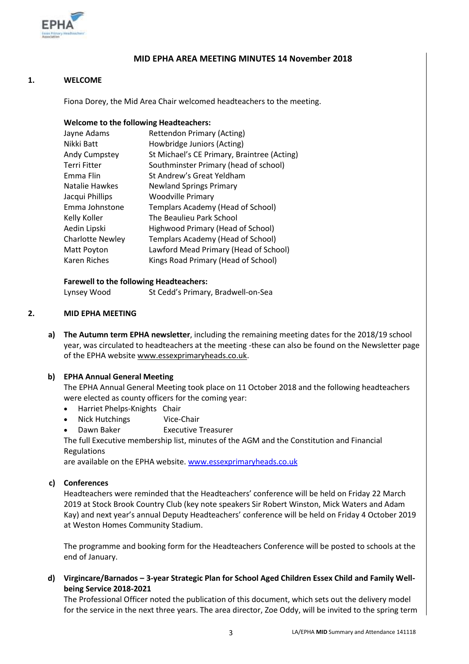

## **MID EPHA AREA MEETING MINUTES 14 November 2018**

#### **1. WELCOME**

Fiona Dorey, the Mid Area Chair welcomed headteachers to the meeting.

#### **Welcome to the following Headteachers:**

| Jayne Adams             | <b>Rettendon Primary (Acting)</b>           |
|-------------------------|---------------------------------------------|
| Nikki Batt              | Howbridge Juniors (Acting)                  |
| Andy Cumpstey           | St Michael's CE Primary, Braintree (Acting) |
| <b>Terri Fitter</b>     | Southminster Primary (head of school)       |
| Emma Flin               | St Andrew's Great Yeldham                   |
| Natalie Hawkes          | <b>Newland Springs Primary</b>              |
| Jacqui Phillips         | <b>Woodville Primary</b>                    |
| Emma Johnstone          | Templars Academy (Head of School)           |
| Kelly Koller            | The Beaulieu Park School                    |
| Aedin Lipski            | Highwood Primary (Head of School)           |
| <b>Charlotte Newley</b> | Templars Academy (Head of School)           |
| Matt Poyton             | Lawford Mead Primary (Head of School)       |
| Karen Riches            | Kings Road Primary (Head of School)         |
|                         |                                             |

#### **Farewell to the following Headteachers:**

Lynsey Wood St Cedd's Primary, Bradwell-on-Sea

#### **2. MID EPHA MEETING**

**a) The Autumn term EPHA newsletter**, including the remaining meeting dates for the 2018/19 school year, was circulated to headteachers at the meeting -these can also be found on the Newsletter page of the EPHA websit[e www.essexprimaryheads.co.uk.](http://www.essexprimaryheads.co.uk/)

#### **b) EPHA Annual General Meeting**

The EPHA Annual General Meeting took place on 11 October 2018 and the following headteachers were elected as county officers for the coming year:

- Harriet Phelps-Knights Chair
- Nick Hutchings Vice-Chair
- Dawn Baker Executive Treasurer

The full Executive membership list, minutes of the AGM and the Constitution and Financial Regulations

are available on the EPHA website[. www.essexprimaryheads.co.uk](http://www.essexprimaryheads.co.uk/)

#### **c) Conferences**

Headteachers were reminded that the Headteachers' conference will be held on Friday 22 March 2019 at Stock Brook Country Club (key note speakers Sir Robert Winston, Mick Waters and Adam Kay) and next year's annual Deputy Headteachers' conference will be held on Friday 4 October 2019 at Weston Homes Community Stadium.

The programme and booking form for the Headteachers Conference will be posted to schools at the end of January.

**d) Virgincare/Barnados – 3-year Strategic Plan for School Aged Children Essex Child and Family Wellbeing Service 2018-2021**

The Professional Officer noted the publication of this document, which sets out the delivery model for the service in the next three years. The area director, Zoe Oddy, will be invited to the spring term